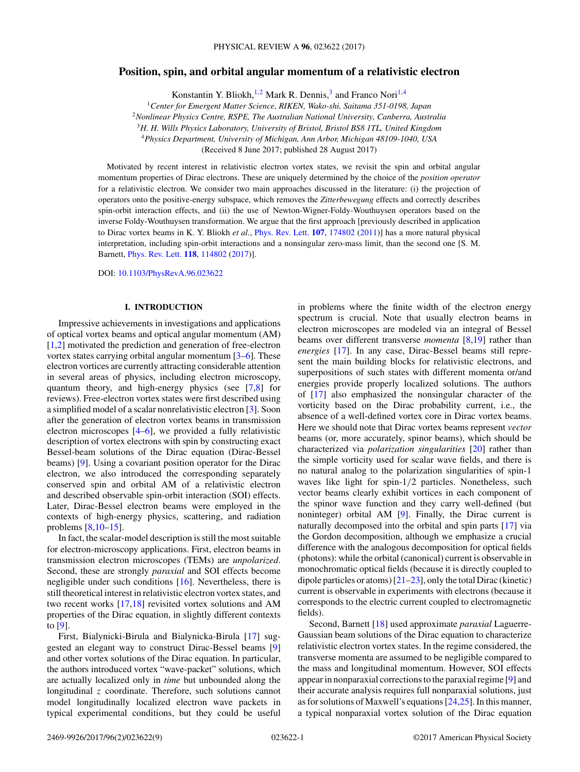# **Position, spin, and orbital angular momentum of a relativistic electron**

Konstantin Y. Bliokh,<sup>1,2</sup> Mark R. Dennis,<sup>3</sup> and Franco Nori<sup>1,4</sup>

<sup>1</sup>*Center for Emergent Matter Science, RIKEN, Wako-shi, Saitama 351-0198, Japan*

<sup>2</sup>*Nonlinear Physics Centre, RSPE, The Australian National University, Canberra, Australia*

<sup>3</sup>*H. H. Wills Physics Laboratory, University of Bristol, Bristol BS8 1TL, United Kingdom*

<sup>4</sup>*Physics Department, University of Michigan, Ann Arbor, Michigan 48109-1040, USA*

(Received 8 June 2017; published 28 August 2017)

Motivated by recent interest in relativistic electron vortex states, we revisit the spin and orbital angular momentum properties of Dirac electrons. These are uniquely determined by the choice of the *position operator* for a relativistic electron. We consider two main approaches discussed in the literature: (i) the projection of operators onto the positive-energy subspace, which removes the *Zitterbewegung* effects and correctly describes spin-orbit interaction effects, and (ii) the use of Newton-Wigner-Foldy-Wouthuysen operators based on the inverse Foldy-Wouthuysen transformation. We argue that the first approach [previously described in application to Dirac vortex beams in K. Y. Bliokh *et al.*, [Phys. Rev. Lett.](https://doi.org/10.1103/PhysRevLett.107.174802) **[107](https://doi.org/10.1103/PhysRevLett.107.174802)**, [174802](https://doi.org/10.1103/PhysRevLett.107.174802) [\(2011\)](https://doi.org/10.1103/PhysRevLett.107.174802)] has a more natural physical interpretation, including spin-orbit interactions and a nonsingular zero-mass limit, than the second one [S. M. Barnett, [Phys. Rev. Lett.](https://doi.org/10.1103/PhysRevLett.118.114802) **[118](https://doi.org/10.1103/PhysRevLett.118.114802)**, [114802](https://doi.org/10.1103/PhysRevLett.118.114802) [\(2017\)](https://doi.org/10.1103/PhysRevLett.118.114802)].

DOI: [10.1103/PhysRevA.96.023622](https://doi.org/10.1103/PhysRevA.96.023622)

# **I. INTRODUCTION**

Impressive achievements in investigations and applications of optical vortex beams and optical angular momentum (AM) [\[1,2\]](#page-7-0) motivated the prediction and generation of free-electron vortex states carrying orbital angular momentum [\[3–6\]](#page-7-0). These electron vortices are currently attracting considerable attention in several areas of physics, including electron microscopy, quantum theory, and high-energy physics (see [\[7,8\]](#page-7-0) for reviews). Free-electron vortex states were first described using a simplified model of a scalar nonrelativistic electron [\[3\]](#page-7-0). Soon after the generation of electron vortex beams in transmission electron microscopes [\[4–6\]](#page-7-0), we provided a fully relativistic description of vortex electrons with spin by constructing exact Bessel-beam solutions of the Dirac equation (Dirac-Bessel beams) [\[9\]](#page-7-0). Using a covariant position operator for the Dirac electron, we also introduced the corresponding separately conserved spin and orbital AM of a relativistic electron and described observable spin-orbit interaction (SOI) effects. Later, Dirac-Bessel electron beams were employed in the contexts of high-energy physics, scattering, and radiation problems [\[8,10–15\]](#page-7-0).

In fact, the scalar-model description is still the most suitable for electron-microscopy applications. First, electron beams in transmission electron microscopes (TEMs) are *unpolarized*. Second, these are strongly *paraxial* and SOI effects become negligible under such conditions [\[16\]](#page-7-0). Nevertheless, there is still theoretical interest in relativistic electron vortex states, and two recent works [\[17,18\]](#page-7-0) revisited vortex solutions and AM properties of the Dirac equation, in slightly different contexts to [\[9\]](#page-7-0).

First, Bialynicki-Birula and Bialynicka-Birula [\[17\]](#page-7-0) suggested an elegant way to construct Dirac-Bessel beams [\[9\]](#page-7-0) and other vortex solutions of the Dirac equation. In particular, the authors introduced vortex "wave-packet" solutions, which are actually localized only in *time* but unbounded along the longitudinal *z* coordinate. Therefore, such solutions cannot model longitudinally localized electron wave packets in typical experimental conditions, but they could be useful in problems where the finite width of the electron energy spectrum is crucial. Note that usually electron beams in electron microscopes are modeled via an integral of Bessel beams over different transverse *momenta* [\[8,19\]](#page-7-0) rather than *energies* [\[17\]](#page-7-0). In any case, Dirac-Bessel beams still represent the main building blocks for relativistic electrons, and superpositions of such states with different momenta or/and energies provide properly localized solutions. The authors of [\[17\]](#page-7-0) also emphasized the nonsingular character of the vorticity based on the Dirac probability current, i.e., the absence of a well-defined vortex core in Dirac vortex beams. Here we should note that Dirac vortex beams represent *vector* beams (or, more accurately, spinor beams), which should be characterized via *polarization singularities* [\[20\]](#page-7-0) rather than the simple vorticity used for scalar wave fields, and there is no natural analog to the polarization singularities of spin-1 waves like light for spin-1*/*2 particles. Nonetheless, such vector beams clearly exhibit vortices in each component of the spinor wave function and they carry well-defined (but noninteger) orbital AM [\[9\]](#page-7-0). Finally, the Dirac current is naturally decomposed into the orbital and spin parts [\[17\]](#page-7-0) via the Gordon decomposition, although we emphasize a crucial difference with the analogous decomposition for optical fields (photons): while the orbital (canonical) current is observable in monochromatic optical fields (because it is directly coupled to dipole particles or atoms) [\[21–23\]](#page-7-0), only the total Dirac (kinetic) current is observable in experiments with electrons (because it corresponds to the electric current coupled to electromagnetic fields).

Second, Barnett [\[18\]](#page-7-0) used approximate *paraxial* Laguerre-Gaussian beam solutions of the Dirac equation to characterize relativistic electron vortex states. In the regime considered, the transverse momenta are assumed to be negligible compared to the mass and longitudinal momentum. However, SOI effects appear in nonparaxial corrections to the paraxial regime [\[9\]](#page-7-0) and their accurate analysis requires full nonparaxial solutions, just as for solutions of Maxwell's equations [\[24,25\]](#page-7-0). In this manner, a typical nonparaxial vortex solution of the Dirac equation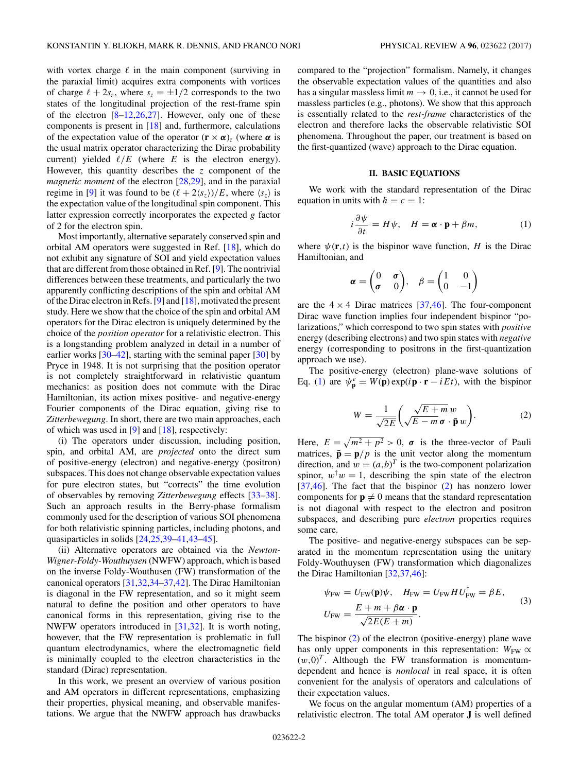<span id="page-1-0"></span>with vortex charge  $\ell$  in the main component (surviving in the paraxial limit) acquires extra components with vortices of charge  $\ell + 2s_z$ , where  $s_z = \pm 1/2$  corresponds to the two states of the longitudinal projection of the rest-frame spin of the electron  $[8-12,26,27]$ . However, only one of these components is present in [\[18\]](#page-7-0) and, furthermore, calculations of the expectation value of the operator  $(\mathbf{r} \times \boldsymbol{\alpha})_z$  (where  $\boldsymbol{\alpha}$  is the usual matrix operator characterizing the Dirac probability current) yielded  $\ell/E$  (where  $E$  is the electron energy). However, this quantity describes the *z* component of the *magnetic moment* of the electron [\[28,29\]](#page-7-0), and in the paraxial regime in [\[9\]](#page-7-0) it was found to be  $(\ell + 2\langle s_z \rangle)/E$ , where  $\langle s_z \rangle$  is the expectation value of the longitudinal spin component. This latter expression correctly incorporates the expected *g* factor of 2 for the electron spin.

Most importantly, alternative separately conserved spin and orbital AM operators were suggested in Ref. [\[18\]](#page-7-0), which do not exhibit any signature of SOI and yield expectation values that are different from those obtained in Ref. [\[9\]](#page-7-0). The nontrivial differences between these treatments, and particularly the two apparently conflicting descriptions of the spin and orbital AM of the Dirac electron in Refs. [\[9\]](#page-7-0) and [\[18\]](#page-7-0), motivated the present study. Here we show that the choice of the spin and orbital AM operators for the Dirac electron is uniquely determined by the choice of the *position operator* for a relativistic electron. This is a longstanding problem analyzed in detail in a number of earlier works [\[30–42\]](#page-7-0), starting with the seminal paper [\[30\]](#page-7-0) by Pryce in 1948. It is not surprising that the position operator is not completely straightforward in relativistic quantum mechanics: as position does not commute with the Dirac Hamiltonian, its action mixes positive- and negative-energy Fourier components of the Dirac equation, giving rise to *Zitterbewegung*. In short, there are two main approaches, each of which was used in [\[9\]](#page-7-0) and [\[18\]](#page-7-0), respectively:

(i) The operators under discussion, including position, spin, and orbital AM, are *projected* onto the direct sum of positive-energy (electron) and negative-energy (positron) subspaces. This does not change observable expectation values for pure electron states, but "corrects" the time evolution of observables by removing *Zitterbewegung* effects [\[33–38\]](#page-7-0). Such an approach results in the Berry-phase formalism commonly used for the description of various SOI phenomena for both relativistic spinning particles, including photons, and quasiparticles in solids [\[24,25,39–41,43–](#page-7-0)[45\]](#page-8-0).

(ii) Alternative operators are obtained via the *Newton-Wigner-Foldy-Wouthuysen* (NWFW) approach, which is based on the inverse Foldy-Wouthusen (FW) transformation of the canonical operators [\[31,32,34–37,42\]](#page-7-0). The Dirac Hamiltonian is diagonal in the FW representation, and so it might seem natural to define the position and other operators to have canonical forms in this representation, giving rise to the NWFW operators introduced in [\[31,32\]](#page-7-0). It is worth noting, however, that the FW representation is problematic in full quantum electrodynamics, where the electromagnetic field is minimally coupled to the electron characteristics in the standard (Dirac) representation.

In this work, we present an overview of various position and AM operators in different representations, emphasizing their properties, physical meaning, and observable manifestations. We argue that the NWFW approach has drawbacks compared to the "projection" formalism. Namely, it changes the observable expectation values of the quantities and also has a singular massless limit  $m \to 0$ , i.e., it cannot be used for massless particles (e.g., photons). We show that this approach is essentially related to the *rest-frame* characteristics of the electron and therefore lacks the observable relativistic SOI phenomena. Throughout the paper, our treatment is based on the first-quantized (wave) approach to the Dirac equation.

### **II. BASIC EQUATIONS**

We work with the standard representation of the Dirac equation in units with  $\hbar = c = 1$ :

$$
i\frac{\partial \psi}{\partial t} = H\psi, \quad H = \mathbf{\alpha} \cdot \mathbf{p} + \beta m,\tag{1}
$$

where  $\psi(\mathbf{r},t)$  is the bispinor wave function, *H* is the Dirac Hamiltonian, and

$$
\boldsymbol{\alpha} = \begin{pmatrix} 0 & \boldsymbol{\sigma} \\ \boldsymbol{\sigma} & 0 \end{pmatrix}, \quad \boldsymbol{\beta} = \begin{pmatrix} 1 & 0 \\ 0 & -1 \end{pmatrix}
$$

are the  $4 \times 4$  Dirac matrices [\[37](#page-7-0)[,46\]](#page-8-0). The four-component Dirac wave function implies four independent bispinor "polarizations," which correspond to two spin states with *positive* energy (describing electrons) and two spin states with *negative* energy (corresponding to positrons in the first-quantization approach we use).

The positive-energy (electron) plane-wave solutions of Eq. (1) are  $\psi_{\mathbf{p}}^e = W(\mathbf{p}) \exp(i\mathbf{p} \cdot \mathbf{r} - iEt)$ , with the bispinor

$$
W = \frac{1}{\sqrt{2E}} \left( \frac{\sqrt{E+m}}{\sqrt{E-m}} \frac{w}{\mathbf{p}} \frac{w}{w} \right). \tag{2}
$$

Here,  $E = \sqrt{m^2 + p^2} > 0$ ,  $\sigma$  is the three-vector of Pauli matrices,  $\bar{\mathbf{p}} = \mathbf{p}/p$  is the unit vector along the momentum direction, and  $w = (a, b)^T$  is the two-component polarization spinor,  $w^{\dagger}w = 1$ , describing the spin state of the electron [\[37,](#page-7-0)[46\]](#page-8-0). The fact that the bispinor (2) has nonzero lower components for  $\mathbf{p} \neq 0$  means that the standard representation is not diagonal with respect to the electron and positron subspaces, and describing pure *electron* properties requires some care.

The positive- and negative-energy subspaces can be separated in the momentum representation using the unitary Foldy-Wouthuysen (FW) transformation which diagonalizes the Dirac Hamiltonian [\[32,37](#page-7-0)[,46\]](#page-8-0):

$$
\psi_{\text{FW}} = U_{\text{FW}}(\mathbf{p})\psi, \quad H_{\text{FW}} = U_{\text{FW}} H U_{\text{FW}}^{\dagger} = \beta E,
$$
  
\n
$$
U_{\text{FW}} = \frac{E + m + \beta \alpha \cdot \mathbf{p}}{\sqrt{2E(E + m)}}.
$$
\n(3)

The bispinor (2) of the electron (positive-energy) plane wave has only upper components in this representation:  $W_{\text{FW}} \propto$  $(w,0)^T$ . Although the FW transformation is momentumdependent and hence is *nonlocal* in real space, it is often convenient for the analysis of operators and calculations of their expectation values.

We focus on the angular momentum (AM) properties of a relativistic electron. The total AM operator **J** is well defined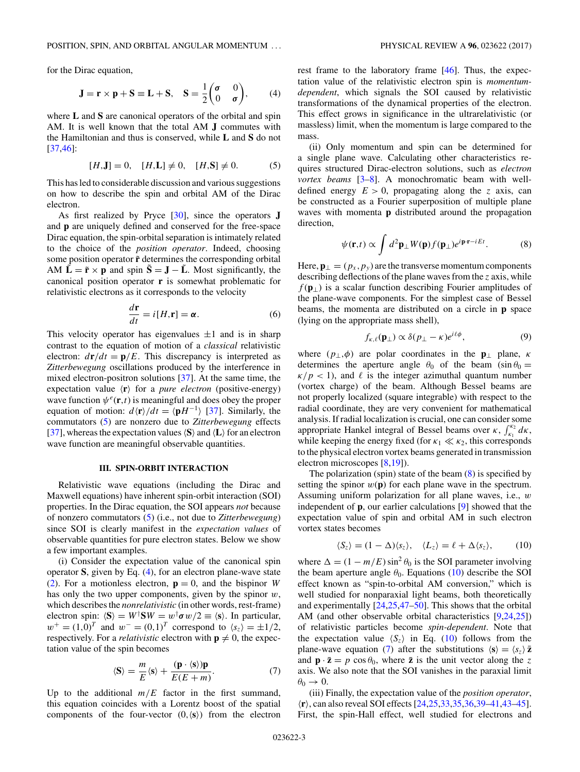<span id="page-2-0"></span>for the Dirac equation,

$$
\mathbf{J} = \mathbf{r} \times \mathbf{p} + \mathbf{S} \equiv \mathbf{L} + \mathbf{S}, \quad \mathbf{S} = \frac{1}{2} \begin{pmatrix} \sigma & 0 \\ 0 & \sigma \end{pmatrix}, \tag{4}
$$

where **L** and **S** are canonical operators of the orbital and spin AM. It is well known that the total AM **J** commutes with the Hamiltonian and thus is conserved, while **L** and **S** do not [\[37](#page-7-0)[,46\]](#page-8-0):

$$
[H, \mathbf{J}] = 0, \quad [H, \mathbf{L}] \neq 0, \quad [H, \mathbf{S}] \neq 0. \tag{5}
$$

This has led to considerable discussion and various suggestions on how to describe the spin and orbital AM of the Dirac electron.

As first realized by Pryce [\[30\]](#page-7-0), since the operators **J** and **p** are uniquely defined and conserved for the free-space Dirac equation, the spin-orbital separation is intimately related to the choice of the *position operator*. Indeed, choosing some position operator  $\tilde{\mathbf{r}}$  determines the corresponding orbital AM  $\tilde{\mathbf{L}} = \tilde{\mathbf{r}} \times \mathbf{p}$  and spin  $\tilde{\mathbf{S}} = \mathbf{J} - \tilde{\mathbf{L}}$ . Most significantly, the canonical position operator **r** is somewhat problematic for relativistic electrons as it corresponds to the velocity

$$
\frac{d\mathbf{r}}{dt} = i[H, \mathbf{r}] = \boldsymbol{\alpha}.\tag{6}
$$

This velocity operator has eigenvalues  $\pm 1$  and is in sharp contrast to the equation of motion of a *classical* relativistic electron:  $d\mathbf{r}/dt = \mathbf{p}/E$ . This discrepancy is interpreted as *Zitterbewegung* oscillations produced by the interference in mixed electron-positron solutions [\[37\]](#page-7-0). At the same time, the expectation value  $\langle \mathbf{r} \rangle$  for a *pure electron* (positive-energy) wave function  $\psi^e(\mathbf{r},t)$  is meaningful and does obey the proper equation of motion:  $d\langle \mathbf{r} \rangle / dt = \langle \mathbf{p} H^{-1} \rangle$  [\[37\]](#page-7-0). Similarly, the commutators (5) are nonzero due to *Zitterbewegung* effects [\[37\]](#page-7-0), whereas the expectation values  $\langle S \rangle$  and  $\langle L \rangle$  for an electron wave function are meaningful observable quantities.

### **III. SPIN-ORBIT INTERACTION**

Relativistic wave equations (including the Dirac and Maxwell equations) have inherent spin-orbit interaction (SOI) properties. In the Dirac equation, the SOI appears *not* because of nonzero commutators (5) (i.e., not due to *Zitterbewegung*) since SOI is clearly manifest in the *expectation values* of observable quantities for pure electron states. Below we show a few important examples.

(i) Consider the expectation value of the canonical spin operator **S**, given by Eq. (4), for an electron plane-wave state [\(2\)](#page-1-0). For a motionless electron,  $\mathbf{p} = 0$ , and the bispinor *W* has only the two upper components, given by the spinor *w*, which describes the *nonrelativistic* (in other words, rest-frame) electron spin:  $\langle S \rangle = W^{\dagger} S W = w^{\dagger} \sigma w/2 \equiv \langle s \rangle$ . In particular,  $w^+ = (1,0)^T$  and  $w^- = (0,1)^T$  correspond to  $\langle s_z \rangle = \pm 1/2$ , respectively. For a *relativistic* electron with  $p \neq 0$ , the expectation value of the spin becomes

$$
\langle \mathbf{S} \rangle = \frac{m}{E} \langle \mathbf{s} \rangle + \frac{(\mathbf{p} \cdot \langle \mathbf{s} \rangle) \mathbf{p}}{E(E+m)}.
$$
 (7)

Up to the additional  $m/E$  factor in the first summand, this equation coincides with a Lorentz boost of the spatial components of the four-vector  $(0, \langle s \rangle)$  from the electron

rest frame to the laboratory frame [\[46\]](#page-8-0). Thus, the expectation value of the relativistic electron spin is *momentumdependent*, which signals the SOI caused by relativistic transformations of the dynamical properties of the electron. This effect grows in significance in the ultrarelativistic (or massless) limit, when the momentum is large compared to the mass.

(ii) Only momentum and spin can be determined for a single plane wave. Calculating other characteristics requires structured Dirac-electron solutions, such as *electron vortex beams* [\[3–8\]](#page-7-0). A monochromatic beam with welldefined energy  $E > 0$ , propagating along the *z* axis, can be constructed as a Fourier superposition of multiple plane waves with momenta **p** distributed around the propagation direction,

$$
\psi(\mathbf{r},t) \propto \int d^2 \mathbf{p}_{\perp} W(\mathbf{p}) f(\mathbf{p}_{\perp}) e^{i\mathbf{p}\cdot\mathbf{r}-iEt}.
$$
 (8)

Here,  $\mathbf{p}_{\perp} = (p_x, p_y)$  are the transverse momentum components describing deflections of the plane waves from the *z* axis, while *f* (**p**⊥) is a scalar function describing Fourier amplitudes of the plane-wave components. For the simplest case of Bessel beams, the momenta are distributed on a circle in **p** space (lying on the appropriate mass shell),

$$
f_{\kappa,\ell}(\mathbf{p}_{\perp}) \propto \delta(p_{\perp} - \kappa)e^{i\ell\phi},\tag{9}
$$

where  $(p_\perp, \phi)$  are polar coordinates in the **p**<sub>⊥</sub> plane, *κ* determines the aperture angle  $\theta_0$  of the beam (sin  $\theta_0 =$  $\frac{\kappa}{p}$  < 1), and  $\ell$  is the integer azimuthal quantum number (vortex charge) of the beam. Although Bessel beams are not properly localized (square integrable) with respect to the radial coordinate, they are very convenient for mathematical analysis. If radial localization is crucial, one can consider some appropriate Hankel integral of Bessel beams over *κ*,  $\int_{k_1}^{k_2} d\kappa$ , while keeping the energy fixed (for  $\kappa_1 \ll \kappa_2$ , this corresponds to the physical electron vortex beams generated in transmission electron microscopes [\[8,19\]](#page-7-0)).

The polarization (spin) state of the beam  $(8)$  is specified by setting the spinor  $w(\mathbf{p})$  for each plane wave in the spectrum. Assuming uniform polarization for all plane waves, i.e., *w* independent of **p**, our earlier calculations [\[9\]](#page-7-0) showed that the expectation value of spin and orbital AM in such electron vortex states becomes

$$
\langle S_z \rangle = (1 - \Delta) \langle s_z \rangle, \quad \langle L_z \rangle = \ell + \Delta \langle s_z \rangle, \tag{10}
$$

where  $\Delta = (1 - m/E) \sin^2 \theta_0$  is the SOI parameter involving the beam aperture angle  $\theta_0$ . Equations (10) describe the SOI effect known as "spin-to-orbital AM conversion," which is well studied for nonparaxial light beams, both theoretically and experimentally [\[24,25,](#page-7-0)[47–50\]](#page-8-0). This shows that the orbital AM (and other observable orbital characteristics [\[9,24,25\]](#page-7-0)) of relativistic particles become *spin-dependent*. Note that the expectation value  $\langle S_z \rangle$  in Eq. (10) follows from the plane-wave equation (7) after the substitutions  $\langle \mathbf{s} \rangle = \langle s_z \rangle \bar{\mathbf{z}}$ and  $\mathbf{p} \cdot \bar{\mathbf{z}} = p \cos \theta_0$ , where  $\bar{\mathbf{z}}$  is the unit vector along the *z* axis. We also note that the SOI vanishes in the paraxial limit  $\theta_0 \rightarrow 0$ .

(iii) Finally, the expectation value of the *position operator*, -**r**, can also reveal SOI effects [\[24,25,33,35,36,39–41,43](#page-7-0)[–45\]](#page-8-0). First, the spin-Hall effect, well studied for electrons and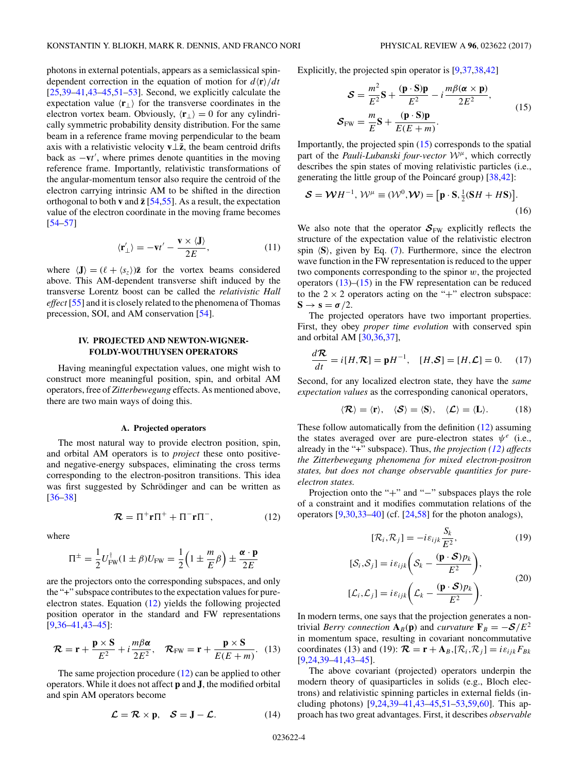<span id="page-3-0"></span>photons in external potentials, appears as a semiclassical spindependent correction in the equation of motion for  $d\langle \mathbf{r} \rangle / dt$ [\[25,39–41,43](#page-7-0)[–45,51–53\]](#page-8-0). Second, we explicitly calculate the expectation value  $\langle \mathbf{r}_{\perp} \rangle$  for the transverse coordinates in the electron vortex beam. Obviously,  $\langle \mathbf{r}_{\perp} \rangle = 0$  for any cylindrically symmetric probability density distribution. For the same beam in a reference frame moving perpendicular to the beam axis with a relativistic velocity  $\mathbf{v} \perp \bar{\mathbf{z}}$ , the beam centroid drifts back as −**v***t* , where primes denote quantities in the moving reference frame. Importantly, relativistic transformations of the angular-momentum tensor also require the centroid of the electron carrying intrinsic AM to be shifted in the direction orthogonal to both **v** and  $\bar{z}$  [\[54,55\]](#page-8-0). As a result, the expectation value of the electron coordinate in the moving frame becomes [\[54–57\]](#page-8-0)

$$
\langle \mathbf{r}'_{\perp} \rangle = -\mathbf{v}t' - \frac{\mathbf{v} \times \langle \mathbf{J} \rangle}{2E},\tag{11}
$$

where  $\langle \mathbf{J} \rangle = (\ell + \langle s_z \rangle) \bar{\mathbf{z}}$  for the vortex beams considered above. This AM-dependent transverse shift induced by the transverse Lorentz boost can be called the *relativistic Hall effect* [\[55\]](#page-8-0) and it is closely related to the phenomena of Thomas precession, SOI, and AM conservation [\[54\]](#page-8-0).

## **IV. PROJECTED AND NEWTON-WIGNER-FOLDY-WOUTHUYSEN OPERATORS**

Having meaningful expectation values, one might wish to construct more meaningful position, spin, and orbital AM operators, free of *Zitterbewegung* effects. As mentioned above, there are two main ways of doing this.

#### **A. Projected operators**

The most natural way to provide electron position, spin, and orbital AM operators is to *project* these onto positiveand negative-energy subspaces, eliminating the cross terms corresponding to the electron-positron transitions. This idea was first suggested by Schrödinger and can be written as [\[36–38\]](#page-7-0)

$$
\mathcal{R} = \Pi^+ \mathbf{r} \Pi^+ + \Pi^- \mathbf{r} \Pi^-, \tag{12}
$$

where

$$
\Pi^{\pm} = \frac{1}{2} U_{\text{FW}}^{\dagger} (1 \pm \beta) U_{\text{FW}} = \frac{1}{2} \left( 1 \pm \frac{m}{E} \beta \right) \pm \frac{\alpha \cdot p}{2E}
$$

are the projectors onto the corresponding subspaces, and only the "+" subspace contributes to the expectation values for pureelectron states. Equation (12) yields the following projected position operator in the standard and FW representations [\[9,36–41,43](#page-7-0)[–45\]](#page-8-0):

$$
\mathcal{R} = \mathbf{r} + \frac{\mathbf{p} \times \mathbf{S}}{E^2} + i \frac{m\beta \alpha}{2E^2}, \quad \mathcal{R}_{\text{FW}} = \mathbf{r} + \frac{\mathbf{p} \times \mathbf{S}}{E(E+m)}.
$$
 (13)

The same projection procedure (12) can be applied to other operators. While it does not affect **p** and **J**, the modified orbital and spin AM operators become

$$
\mathcal{L} = \mathcal{R} \times \mathbf{p}, \quad \mathcal{S} = \mathbf{J} - \mathcal{L}.
$$
 (14)

Explicitly, the projected spin operator is [\[9,37,38,42\]](#page-7-0)

$$
\mathcal{S} = \frac{m^2}{E^2} \mathbf{S} + \frac{(\mathbf{p} \cdot \mathbf{S}) \mathbf{p}}{E^2} - i \frac{m \beta (\alpha \times \mathbf{p})}{2E^2},
$$
  

$$
\mathcal{S}_{FW} = \frac{m}{E} \mathbf{S} + \frac{(\mathbf{p} \cdot \mathbf{S}) \mathbf{p}}{E(E+m)}.
$$
 (15)

Importantly, the projected spin (15) corresponds to the spatial part of the *Pauli-Lubanski four-vector* <sup>W</sup>*<sup>μ</sup>*, which correctly describes the spin states of moving relativistic particles (i.e., generating the little group of the Poincaré group) [\[38,42\]](#page-7-0):

$$
\mathcal{S} = \mathcal{W}H^{-1}, \mathcal{W}^{\mu} \equiv (\mathcal{W}^0, \mathcal{W}) = [\mathbf{p} \cdot \mathbf{S}, \frac{1}{2}(\mathbf{S}H + H\mathbf{S})].
$$
\n(16)

We also note that the operator  $S_{\text{FW}}$  explicitly reflects the structure of the expectation value of the relativistic electron spin  $\langle S \rangle$ , given by Eq. [\(7\)](#page-2-0). Furthermore, since the electron wave function in the FW representation is reduced to the upper two components corresponding to the spinor *w*, the projected operators  $(13)$ – $(15)$  in the FW representation can be reduced to the  $2 \times 2$  operators acting on the "+" electron subspace:  $S \rightarrow s = \sigma/2$ .

The projected operators have two important properties. First, they obey *proper time evolution* with conserved spin and orbital AM [\[30,36,37\]](#page-7-0),

$$
\frac{d\mathcal{R}}{dt} = i[H, \mathcal{R}] = \mathbf{p}H^{-1}, \quad [H, \mathcal{S}] = [H, \mathcal{L}] = 0. \quad (17)
$$

Second, for any localized electron state, they have the *same expectation values* as the corresponding canonical operators,

$$
\langle \mathcal{R} \rangle = \langle \mathbf{r} \rangle, \quad \langle \mathcal{S} \rangle = \langle \mathbf{S} \rangle, \quad \langle \mathcal{L} \rangle = \langle \mathbf{L} \rangle. \tag{18}
$$

These follow automatically from the definition (12) assuming the states averaged over are pure-electron states  $\psi^e$  (i.e., already in the "+" subspace). Thus, *the projection (12) affects the Zitterbewegung phenomena for mixed electron-positron states, but does not change observable quantities for pureelectron states.*

Projection onto the "+" and "−" subspaces plays the role of a constraint and it modifies commutation relations of the operators [\[9,30,33–40\]](#page-7-0) (cf. [\[24](#page-7-0)[,58\]](#page-8-0) for the photon analogs),

$$
[\mathcal{R}_i, \mathcal{R}_j] = -i\varepsilon_{ijk} \frac{S_k}{E^2},\tag{19}
$$

$$
[\mathcal{S}_i, \mathcal{S}_j] = i\varepsilon_{ijk} \bigg( \mathcal{S}_k - \frac{(\mathbf{p} \cdot \mathcal{S})p_k}{E^2} \bigg),
$$
  

$$
[\mathcal{L}_i, \mathcal{L}_j] = i\varepsilon_{ijk} \bigg( \mathcal{L}_k - \frac{(\mathbf{p} \cdot \mathcal{S})p_k}{E^2} \bigg).
$$
 (20)

In modern terms, one says that the projection generates a nontrivial *Berry connection*  $A_B(p)$  and *curvature*  $\mathbf{F}_B = -\mathcal{S}/E^2$ in momentum space, resulting in covariant noncommutative coordinates (13) and (19):  $\mathcal{R} = \mathbf{r} + \mathbf{A}_B$ ,  $[\mathcal{R}_i, \mathcal{R}_j] = i \varepsilon_{ijk} F_{Bk}$ [\[9,24,39–41,43–](#page-7-0)[45\]](#page-8-0).

The above covariant (projected) operators underpin the modern theory of quasiparticles in solids (e.g., Bloch electrons) and relativistic spinning particles in external fields (including photons) [\[9,24,39–41,43](#page-7-0)[–45,51–53,59,60\]](#page-8-0). This approach has two great advantages. First, it describes *observable*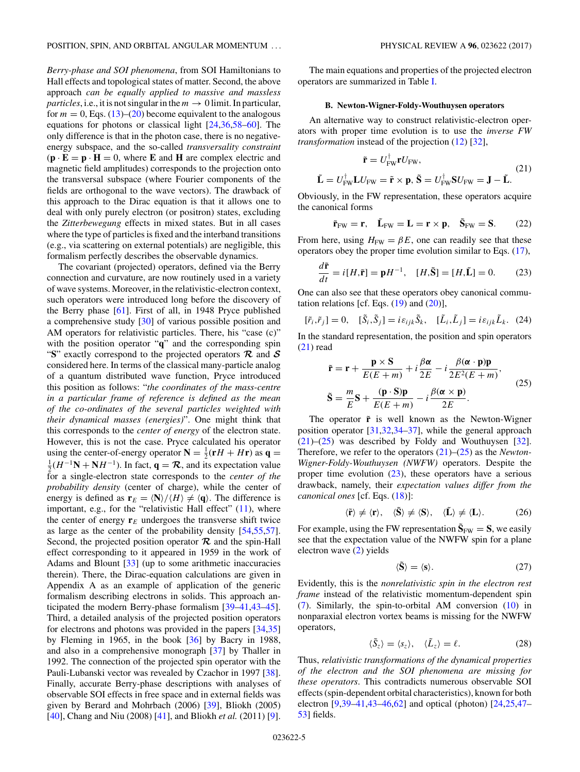<span id="page-4-0"></span>*Berry-phase and SOI phenomena*, from SOI Hamiltonians to Hall effects and topological states of matter. Second, the above approach *can be equally applied to massive and massless particles*, i.e., it is not singular in the  $m \to 0$  limit. In particular, for  $m = 0$ , Eqs. [\(13\)](#page-3-0)–[\(20\)](#page-3-0) become equivalent to the analogous equations for photons or classical light [\[24,36](#page-7-0)[,58–60\]](#page-8-0). The only difference is that in the photon case, there is no negativeenergy subspace, and the so-called *transversality constraint*  $(\mathbf{p} \cdot \mathbf{E} = \mathbf{p} \cdot \mathbf{H} = 0$ , where **E** and **H** are complex electric and magnetic field amplitudes) corresponds to the projection onto the transversal subspace (where Fourier components of the fields are orthogonal to the wave vectors). The drawback of this approach to the Dirac equation is that it allows one to deal with only purely electron (or positron) states, excluding the *Zitterbewegung* effects in mixed states. But in all cases where the type of particles is fixed and the interband transitions (e.g., via scattering on external potentials) are negligible, this formalism perfectly describes the observable dynamics.

The covariant (projected) operators, defined via the Berry connection and curvature, are now routinely used in a variety of wave systems. Moreover, in the relativistic-electron context, such operators were introduced long before the discovery of the Berry phase [\[61\]](#page-8-0). First of all, in 1948 Pryce published a comprehensive study [\[30\]](#page-7-0) of various possible position and AM operators for relativistic particles. There, his "case (c)" with the position operator "**q**" and the corresponding spin "**S**" exactly correspond to the projected operators *R* and *S* considered here. In terms of the classical many-particle analog of a quantum distributed wave function, Pryce introduced this position as follows: "*the coordinates of the mass-centre in a particular frame of reference is defined as the mean of the co-ordinates of the several particles weighted with their dynamical masses (energies)*". One might think that this corresponds to the *center of energy* of the electron state. However, this is not the case. Pryce calculated his operator using the center-of-energy operator  $\mathbf{N} = \frac{1}{2}(\mathbf{r}H + H\mathbf{r})$  as  $\mathbf{q} =$ <br> $\frac{1}{2}(\mathbf{r}H - 1\mathbf{N} + \mathbf{N}H^{-1})$ . In fact,  $\mathbf{q} = \mathbf{Z}$ , and its expectation value  $\frac{1}{2}(H^{-1}\mathbf{N} + \mathbf{N}H^{-1})$ . In fact,  $\mathbf{q} = \mathcal{R}$ , and its expectation value for a single-electron state corresponds to the *center of the probability density* (center of charge), while the center of energy is defined as  $\mathbf{r}_E = \langle \mathbf{N} \rangle / \langle H \rangle \neq \langle \mathbf{q} \rangle$ . The difference is important, e.g., for the "relativistic Hall effect" [\(11\)](#page-3-0), where the center of energy  $r_E$  undergoes the transverse shift twice as large as the center of the probability density [\[54,55,57\]](#page-8-0). Second, the projected position operator  $\mathcal R$  and the spin-Hall effect corresponding to it appeared in 1959 in the work of Adams and Blount [\[33\]](#page-7-0) (up to some arithmetic inaccuracies therein). There, the Dirac-equation calculations are given in Appendix A as an example of application of the generic formalism describing electrons in solids. This approach anticipated the modern Berry-phase formalism [\[39–41,43–](#page-7-0)[45\]](#page-8-0). Third, a detailed analysis of the projected position operators for electrons and photons was provided in the papers [\[34,35\]](#page-7-0) by Fleming in 1965, in the book [\[36\]](#page-7-0) by Bacry in 1988, and also in a comprehensive monograph [\[37\]](#page-7-0) by Thaller in 1992. The connection of the projected spin operator with the Pauli-Lubanski vector was revealed by Czachor in 1997 [\[38\]](#page-7-0). Finally, accurate Berry-phase descriptions with analyses of observable SOI effects in free space and in external fields was given by Berard and Mohrbach (2006) [\[39\]](#page-7-0), Bliokh (2005) [\[40\]](#page-7-0), Chang and Niu (2008) [\[41\]](#page-7-0), and Bliokh *et al.* (2011) [\[9\]](#page-7-0).

The main equations and properties of the projected electron operators are summarized in Table [I.](#page-5-0)

#### **B. Newton-Wigner-Foldy-Wouthuysen operators**

An alternative way to construct relativistic-electron operators with proper time evolution is to use the *inverse FW transformation* instead of the projection [\(12\)](#page-3-0) [\[32\]](#page-7-0),

$$
\tilde{\mathbf{r}} = U_{\text{FW}}^{\dagger} \mathbf{r} U_{\text{FW}},\tag{21}
$$

$$
\tilde{\mathbf{L}} = U_{\text{FW}}^{\dagger} \mathbf{L} U_{\text{FW}} = \tilde{\mathbf{r}} \times \mathbf{p}, \tilde{\mathbf{S}} = U_{\text{FW}}^{\dagger} \mathbf{S} U_{\text{FW}} = \mathbf{J} - \tilde{\mathbf{L}}.
$$

Obviously, in the FW representation, these operators acquire the canonical forms

$$
\tilde{\mathbf{r}}_{FW} = \mathbf{r}, \quad \tilde{\mathbf{L}}_{FW} = \mathbf{L} = \mathbf{r} \times \mathbf{p}, \quad \tilde{\mathbf{S}}_{FW} = \mathbf{S}.
$$
 (22)

From here, using  $H_{\text{FW}} = \beta E$ , one can readily see that these operators obey the proper time evolution similar to Eqs. [\(17\)](#page-3-0),

$$
\frac{d\tilde{\mathbf{r}}}{dt} = i[H, \tilde{\mathbf{r}}] = \mathbf{p}H^{-1}, \quad [H, \tilde{\mathbf{S}}] = [H, \tilde{\mathbf{L}}] = 0. \tag{23}
$$

One can also see that these operators obey canonical commutation relations [cf. Eqs.  $(19)$  and  $(20)$ ],

$$
[\tilde{r}_i, \tilde{r}_j] = 0, \quad [\tilde{S}_i, \tilde{S}_j] = i\,\varepsilon_{ijk}\,\tilde{S}_k, \quad [\tilde{L}_i, \tilde{L}_j] = i\,\varepsilon_{ijk}\,\tilde{L}_k. \quad (24)
$$

In the standard representation, the position and spin operators (21) read

$$
\tilde{\mathbf{r}} = \mathbf{r} + \frac{\mathbf{p} \times \mathbf{S}}{E(E+m)} + i \frac{\beta \alpha}{2E} - i \frac{\beta (\alpha \cdot \mathbf{p}) \mathbf{p}}{2E^2(E+m)},
$$
\n
$$
\tilde{\mathbf{S}} = \frac{m}{E} \mathbf{S} + \frac{(\mathbf{p} \cdot \mathbf{S}) \mathbf{p}}{E(E+m)} - i \frac{\beta (\alpha \times \mathbf{p})}{2E}.
$$
\n(25)

The operator  $\tilde{r}$  is well known as the Newton-Wigner position operator [\[31,32,34–37\]](#page-7-0), while the general approach (21)–(25) was described by Foldy and Wouthuysen [\[32\]](#page-7-0). Therefore, we refer to the operators (21)–(25) as the *Newton-Wigner-Foldy-Wouthuysen (NWFW)* operators. Despite the proper time evolution  $(23)$ , these operators have a serious drawback, namely, their *expectation values differ from the canonical ones* [cf. Eqs. [\(18\)](#page-3-0)]:

$$
\langle \tilde{\mathbf{r}} \rangle \neq \langle \mathbf{r} \rangle, \quad \langle \tilde{\mathbf{S}} \rangle \neq \langle \mathbf{S} \rangle, \quad \langle \tilde{\mathbf{L}} \rangle \neq \langle \mathbf{L} \rangle. \tag{26}
$$

For example, using the FW representation  $\tilde{S}_{FW} = S$ , we easily see that the expectation value of the NWFW spin for a plane electron wave [\(2\)](#page-1-0) yields

$$
\langle \tilde{\mathbf{S}} \rangle = \langle \mathbf{s} \rangle. \tag{27}
$$

Evidently, this is the *nonrelativistic spin in the electron rest frame* instead of the relativistic momentum-dependent spin [\(7\)](#page-2-0). Similarly, the spin-to-orbital AM conversion [\(10\)](#page-2-0) in nonparaxial electron vortex beams is missing for the NWFW operators,

$$
\langle \tilde{S}_z \rangle = \langle s_z \rangle, \quad \langle \tilde{L}_z \rangle = \ell. \tag{28}
$$

Thus, *relativistic transformations of the dynamical properties of the electron and the SOI phenomena are missing for these operators*. This contradicts numerous observable SOI effects (spin-dependent orbital characteristics), known for both electron [\[9,39–41,43](#page-7-0)[–46,62\]](#page-8-0) and optical (photon) [\[24,25](#page-7-0)[,47–](#page-8-0) [53\]](#page-8-0) fields.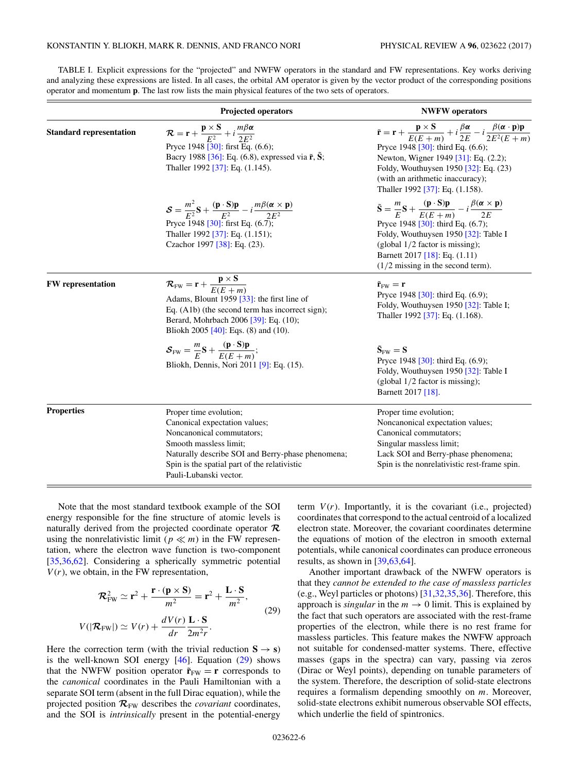|                                | <b>Projected operators</b>                                                                                                                                                                                                                                                      | <b>NWFW</b> operators                                                                                                                                                                                                                                                                                                                                                      |
|--------------------------------|---------------------------------------------------------------------------------------------------------------------------------------------------------------------------------------------------------------------------------------------------------------------------------|----------------------------------------------------------------------------------------------------------------------------------------------------------------------------------------------------------------------------------------------------------------------------------------------------------------------------------------------------------------------------|
| <b>Standard representation</b> | $\mathcal{R} = \mathbf{r} + \frac{\mathbf{p} \times \mathbf{S}}{F^2} + i \frac{m \beta \alpha}{2 F^2}$<br>Pryce 1948 [30]: first Eq. (6.6);<br>Bacry 1988 [36]: Eq. (6.8), expressed via $\tilde{\mathbf{r}}, \tilde{\mathbf{S}}$ ;<br>Thaller 1992 [37]: Eq. (1.145).          | $\tilde{\mathbf{r}} = \mathbf{r} + \frac{\mathbf{p} \times \mathbf{S}}{E(E+m)} + i \frac{\beta \alpha}{2E} - i \frac{\beta(\alpha \cdot \mathbf{p})\mathbf{p}}{2E^2(E+m)}$<br>Pryce 1948 [30]: third Eq. $(6.6)$ ;<br>Newton, Wigner 1949 [31]: Eq. (2.2);<br>Foldy, Wouthuysen 1950 [32]: Eq. (23)<br>(with an arithmetic inaccuracy);<br>Thaller 1992 [37]: Eq. (1.158). |
|                                | $\mathcal{S} = \frac{m^2}{E^2} \mathbf{S} + \frac{(\mathbf{p} \cdot \mathbf{S})\mathbf{p}}{E^2} - i \frac{m\beta(\alpha \times \mathbf{p})}{2E^2}$<br>Pryce 1948 [30]: first Eq. $(6.7)$<br>Thaller 1992 [37]: Eq. (1.151);<br>Czachor 1997 [38]: Eq. (23).                     | $\tilde{\mathbf{S}} = \frac{m}{E} \mathbf{S} + \frac{(\mathbf{p} \cdot \mathbf{S}) \mathbf{p}}{E(E+m)} - i \frac{\beta(\alpha \times \mathbf{p})}{2E}$<br>Pryce 1948 [30]: third Eq. (6.7);<br>Foldy, Wouthuysen 1950 [32]: Table I<br>(global $1/2$ factor is missing);<br>Barnett 2017 [18]: Eq. $(1.11)$<br>$(1/2$ missing in the second term).                         |
| <b>FW</b> representation       | $\overline{\mathcal{R}_{FW}} = \mathbf{r} + \frac{\mathbf{p} \times \mathbf{S}}{E(E+m)}$<br>Adams, Blount 1959 [33]: the first line of<br>Eq. (A1b) (the second term has incorrect sign);<br>Berard, Mohrbach 2006 [39]: Eq. (10);<br>Bliokh 2005 [40]: Eqs. $(8)$ and $(10)$ . | $\tilde{\mathbf{r}}_{\text{FW}} = \mathbf{r}$<br>Pryce 1948 [30]: third Eq. (6.9);<br>Foldy, Wouthuysen 1950 [32]: Table I;<br>Thaller 1992 [37]: Eq. (1.168).                                                                                                                                                                                                             |
|                                | $\mathcal{S}_{FW} = \frac{m}{F}S + \frac{(\mathbf{p} \cdot S)\mathbf{p}}{F(F+m)};$<br>Bliokh, Dennis, Nori 2011 [9]: Eq. (15).                                                                                                                                                  | $\tilde{\mathbf{S}}_{\text{FW}} = \mathbf{S}$<br>Pryce 1948 [30]: third Eq. (6.9);<br>Foldy, Wouthuysen 1950 [32]: Table I<br>(global $1/2$ factor is missing);<br>Barnett 2017 [18].                                                                                                                                                                                      |
| <b>Properties</b>              | Proper time evolution;<br>Canonical expectation values;<br>Noncanonical commutators;<br>Smooth massless limit;<br>Naturally describe SOI and Berry-phase phenomena;<br>Spin is the spatial part of the relativistic                                                             | Proper time evolution;<br>Noncanonical expectation values;<br>Canonical commutators;<br>Singular massless limit;<br>Lack SOI and Berry-phase phenomena;<br>Spin is the nonrelativistic rest-frame spin.                                                                                                                                                                    |

<span id="page-5-0"></span>TABLE I. Explicit expressions for the "projected" and NWFW operators in the standard and FW representations. Key works deriving and analyzing these expressions are listed. In all cases, the orbital AM operator is given by the vector product of the corresponding positions operator and momentum **p**. The last row lists the main physical features of the two sets of operators.

Note that the most standard textbook example of the SOI energy responsible for the fine structure of atomic levels is naturally derived from the projected coordinate operator *R* using the nonrelativistic limit ( $p \ll m$ ) in the FW representation, where the electron wave function is two-component [\[35,36,](#page-7-0)[62\]](#page-8-0). Considering a spherically symmetric potential  $V(r)$ , we obtain, in the FW representation,

$$
\mathcal{R}_{FW}^2 \simeq \mathbf{r}^2 + \frac{\mathbf{r} \cdot (\mathbf{p} \times \mathbf{S})}{m^2} = \mathbf{r}^2 + \frac{\mathbf{L} \cdot \mathbf{S}}{m^2},
$$
  

$$
V(|\mathcal{R}_{FW}|) \simeq V(r) + \frac{dV(r)}{dr} \frac{\mathbf{L} \cdot \mathbf{S}}{2m^2r}.
$$
 (29)

Pauli-Lubanski vector.

Here the correction term (with the trivial reduction  $S \rightarrow s$ ) is the well-known SOI energy [\[46\]](#page-8-0). Equation (29) shows that the NWFW position operator  $\tilde{\mathbf{r}}_{\text{FW}} = \mathbf{r}$  corresponds to the *canonical* coordinates in the Pauli Hamiltonian with a separate SOI term (absent in the full Dirac equation), while the projected position  $\mathcal{R}_{FW}$  describes the *covariant* coordinates, and the SOI is *intrinsically* present in the potential-energy term  $V(r)$ . Importantly, it is the covariant (i.e., projected) coordinates that correspond to the actual centroid of a localized electron state. Moreover, the covariant coordinates determine the equations of motion of the electron in smooth external potentials, while canonical coordinates can produce erroneous results, as shown in [\[39,](#page-7-0)[63,64\]](#page-8-0).

Another important drawback of the NWFW operators is that they *cannot be extended to the case of massless particles* (e.g., Weyl particles or photons) [\[31,32,35,36\]](#page-7-0). Therefore, this approach is *singular* in the  $m \to 0$  limit. This is explained by the fact that such operators are associated with the rest-frame properties of the electron, while there is no rest frame for massless particles. This feature makes the NWFW approach not suitable for condensed-matter systems. There, effective masses (gaps in the spectra) can vary, passing via zeros (Dirac or Weyl points), depending on tunable parameters of the system. Therefore, the description of solid-state electrons requires a formalism depending smoothly on *m*. Moreover, solid-state electrons exhibit numerous observable SOI effects, which underlie the field of spintronics.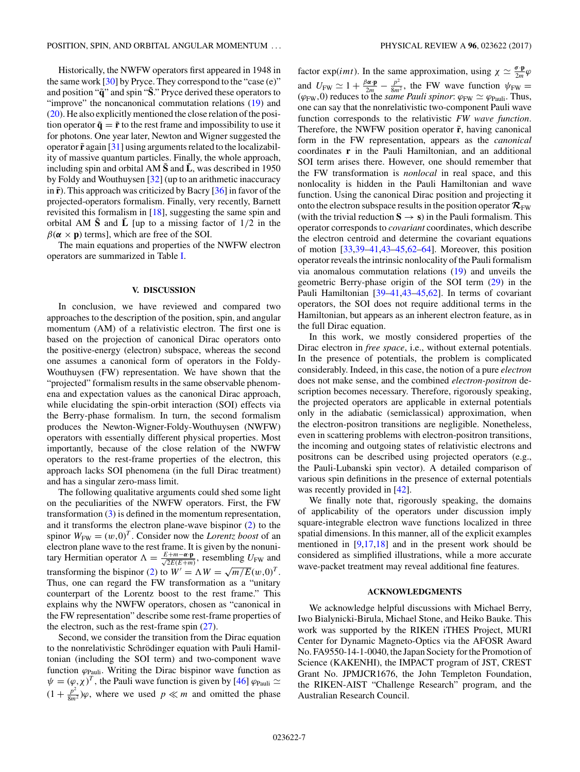Historically, the NWFW operators first appeared in 1948 in the same work [\[30\]](#page-7-0) by Pryce. They correspond to the "case (e)" and position "**q**˜ " and spin "**S**˜." Pryce derived these operators to "improve" the noncanonical commutation relations [\(19\)](#page-3-0) and [\(20\)](#page-3-0). He also explicitly mentioned the close relation of the position operator  $\tilde{\mathbf{q}} = \tilde{\mathbf{r}}$  to the rest frame and impossibility to use it for photons. One year later, Newton and Wigner suggested the operator  $\tilde{\mathbf{r}}$  again [\[31\]](#page-7-0) using arguments related to the localizability of massive quantum particles. Finally, the whole approach, including spin and orbital AM  $\tilde{S}$  and  $\tilde{L}$ , was described in 1950 by Foldy and Wouthuysen [\[32\]](#page-7-0) (up to an arithmetic inaccuracy in  $\tilde{\mathbf{r}}$ ). This approach was criticized by Bacry [\[36\]](#page-7-0) in favor of the projected-operators formalism. Finally, very recently, Barnett revisited this formalism in [\[18\]](#page-7-0), suggesting the same spin and orbital AM  $\tilde{S}$  and  $\tilde{L}$  [up to a missing factor of  $1/2$  in the  $\beta(\alpha \times \mathbf{p})$  terms], which are free of the SOI.

The main equations and properties of the NWFW electron operators are summarized in Table [I.](#page-5-0)

#### **V. DISCUSSION**

In conclusion, we have reviewed and compared two approaches to the description of the position, spin, and angular momentum (AM) of a relativistic electron. The first one is based on the projection of canonical Dirac operators onto the positive-energy (electron) subspace, whereas the second one assumes a canonical form of operators in the Foldy-Wouthuysen (FW) representation. We have shown that the "projected" formalism results in the same observable phenomena and expectation values as the canonical Dirac approach, while elucidating the spin-orbit interaction (SOI) effects via the Berry-phase formalism. In turn, the second formalism produces the Newton-Wigner-Foldy-Wouthuysen (NWFW) operators with essentially different physical properties. Most importantly, because of the close relation of the NWFW operators to the rest-frame properties of the electron, this approach lacks SOI phenomena (in the full Dirac treatment) and has a singular zero-mass limit.

The following qualitative arguments could shed some light on the peculiarities of the NWFW operators. First, the FW transformation [\(3\)](#page-1-0) is defined in the momentum representation, and it transforms the electron plane-wave bispinor [\(2\)](#page-1-0) to the spinor  $W_{\text{FW}} = (w, 0)^T$ . Consider now the *Lorentz boost* of an electron plane wave to the rest frame. It is given by the nonunitary Hermitian operator  $\Lambda = \frac{E + m - \alpha \cdot \mathbf{p}}{\sqrt{2E(E+m)}}$ , resembling  $U_{\text{FW}}$  and transforming the bispinor [\(2\)](#page-1-0) to  $W' = \Lambda W = \sqrt{m/E(w,0)^T}$ . Thus, one can regard the FW transformation as a "unitary counterpart of the Lorentz boost to the rest frame." This explains why the NWFW operators, chosen as "canonical in the FW representation" describe some rest-frame properties of the electron, such as the rest-frame spin  $(27)$ .

Second, we consider the transition from the Dirac equation to the nonrelativistic Schrödinger equation with Pauli Hamiltonian (including the SOI term) and two-component wave function *ϕ*Pauli. Writing the Dirac bispinor wave function as  $\psi = (\varphi, \chi)^T$ , the Pauli wave function is given by [\[46\]](#page-8-0)  $\varphi_{\text{Pauli}} \simeq$  $(1 + \frac{p^2}{8m^2})\varphi$ , where we used  $p \ll m$  and omitted the phase

factor exp(*imt*). In the same approximation, using  $\chi \simeq \frac{\sigma \cdot \mathbf{p}}{2m} \varphi$ and  $U_{\text{FW}} \simeq 1 + \frac{\beta \alpha \cdot \mathbf{p}}{2m} - \frac{p^2}{8m^2}$ , the FW wave function  $\psi_{\text{FW}} =$  $(\varphi_{FW}, 0)$  reduces to the *same Pauli spinor*:  $\varphi_{FW} \simeq \varphi_{Pauli}$ . Thus, one can say that the nonrelativistic two-component Pauli wave function corresponds to the relativistic *FW wave function*. Therefore, the NWFW position operator  $\tilde{\mathbf{r}}$ , having canonical form in the FW representation, appears as the *canonical* coordinates **r** in the Pauli Hamiltonian, and an additional SOI term arises there. However, one should remember that the FW transformation is *nonlocal* in real space, and this nonlocality is hidden in the Pauli Hamiltonian and wave function. Using the canonical Dirac position and projecting it onto the electron subspace results in the position operator  $\mathcal{R}_{FW}$ (with the trivial reduction  $S \rightarrow s$ ) in the Pauli formalism. This operator corresponds to *covariant* coordinates, which describe the electron centroid and determine the covariant equations of motion [\[33,39–41,43–](#page-7-0)[45,62–64\]](#page-8-0). Moreover, this position operator reveals the intrinsic nonlocality of the Pauli formalism via anomalous commutation relations [\(19\)](#page-3-0) and unveils the geometric Berry-phase origin of the SOI term [\(29\)](#page-5-0) in the Pauli Hamiltonian [\[39–41,43–](#page-7-0)[45,62\]](#page-8-0). In terms of covariant operators, the SOI does not require additional terms in the Hamiltonian, but appears as an inherent electron feature, as in the full Dirac equation.

In this work, we mostly considered properties of the Dirac electron in *free space*, i.e., without external potentials. In the presence of potentials, the problem is complicated considerably. Indeed, in this case, the notion of a pure *electron* does not make sense, and the combined *electron-positron* description becomes necessary. Therefore, rigorously speaking, the projected operators are applicable in external potentials only in the adiabatic (semiclassical) approximation, when the electron-positron transitions are negligible. Nonetheless, even in scattering problems with electron-positron transitions, the incoming and outgoing states of relativistic electrons and positrons can be described using projected operators (e.g., the Pauli-Lubanski spin vector). A detailed comparison of various spin definitions in the presence of external potentials was recently provided in [\[42\]](#page-7-0).

We finally note that, rigorously speaking, the domains of applicability of the operators under discussion imply square-integrable electron wave functions localized in three spatial dimensions. In this manner, all of the explicit examples mentioned in [\[9,17,18\]](#page-7-0) and in the present work should be considered as simplified illustrations, while a more accurate wave-packet treatment may reveal additional fine features.

## **ACKNOWLEDGMENTS**

We acknowledge helpful discussions with Michael Berry, Iwo Bialynicki-Birula, Michael Stone, and Heiko Bauke. This work was supported by the RIKEN iTHES Project, MURI Center for Dynamic Magneto-Optics via the AFOSR Award No. FA9550-14-1-0040, the Japan Society for the Promotion of Science (KAKENHI), the IMPACT program of JST, CREST Grant No. JPMJCR1676, the John Templeton Foundation, the RIKEN-AIST "Challenge Research" program, and the Australian Research Council.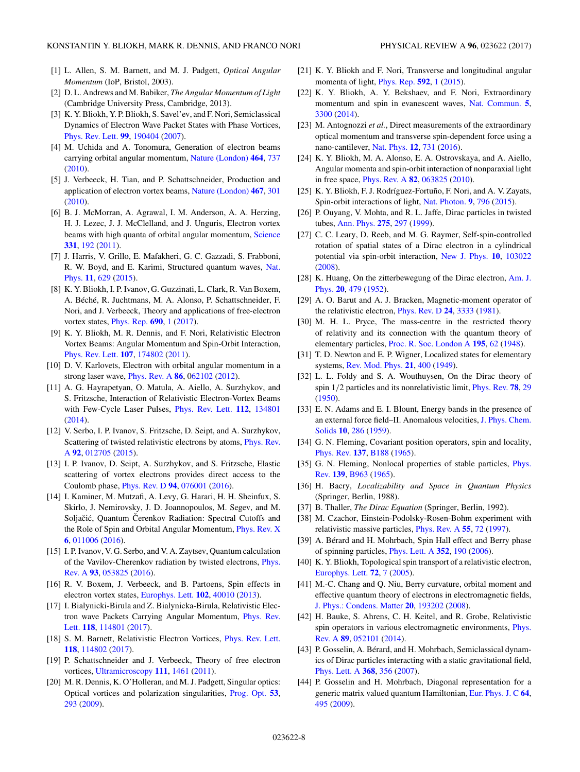- <span id="page-7-0"></span>[1] L. Allen, S. M. Barnett, and M. J. Padgett, *Optical Angular Momentum* (IoP, Bristol, 2003).
- [2] D. L. Andrews and M. Babiker, *The Angular Momentum of Light* (Cambridge University Press, Cambridge, 2013).
- [3] K. Y. Bliokh, Y. P. Bliokh, S. Savel'ev, and F. Nori, Semiclassical Dynamics of Electron Wave Packet States with Phase Vortices, [Phys. Rev. Lett.](https://doi.org/10.1103/PhysRevLett.99.190404) **[99](https://doi.org/10.1103/PhysRevLett.99.190404)**, [190404](https://doi.org/10.1103/PhysRevLett.99.190404) [\(2007\)](https://doi.org/10.1103/PhysRevLett.99.190404).
- [4] M. Uchida and A. Tonomura, Generation of electron beams carrying orbital angular momentum, [Nature \(London\)](https://doi.org/10.1038/nature08904) **[464](https://doi.org/10.1038/nature08904)**, [737](https://doi.org/10.1038/nature08904) [\(2010\)](https://doi.org/10.1038/nature08904).
- [5] J. Verbeeck, H. Tian, and P. Schattschneider, Production and application of electron vortex beams, [Nature \(London\)](https://doi.org/10.1038/nature09366) **[467](https://doi.org/10.1038/nature09366)**, [301](https://doi.org/10.1038/nature09366) [\(2010\)](https://doi.org/10.1038/nature09366).
- [6] B. J. McMorran, A. Agrawal, I. M. Anderson, A. A. Herzing, H. J. Lezec, J. J. McClelland, and J. Unguris, Electron vortex beams with high quanta of orbital angular momentum, [Science](https://doi.org/10.1126/science.1198804) **[331](https://doi.org/10.1126/science.1198804)**, [192](https://doi.org/10.1126/science.1198804) [\(2011\)](https://doi.org/10.1126/science.1198804).
- [7] J. Harris, V. Grillo, E. Mafakheri, G. C. Gazzadi, S. Frabboni, [R. W. Boyd, and E. Karimi, Structured quantum waves,](https://doi.org/10.1038/nphys3404) Nat. Phys. **[11](https://doi.org/10.1038/nphys3404)**, [629](https://doi.org/10.1038/nphys3404) [\(2015\)](https://doi.org/10.1038/nphys3404).
- [8] K. Y. Bliokh, I. P. Ivanov, G. Guzzinati, L. Clark, R. Van Boxem, A. Béché, R. Juchtmans, M. A. Alonso, P. Schattschneider, F. Nori, and J. Verbeeck, Theory and applications of free-electron vortex states, [Phys. Rep.](https://doi.org/10.1016/j.physrep.2017.05.006) **[690](https://doi.org/10.1016/j.physrep.2017.05.006)**, [1](https://doi.org/10.1016/j.physrep.2017.05.006) [\(2017\)](https://doi.org/10.1016/j.physrep.2017.05.006).
- [9] K. Y. Bliokh, M. R. Dennis, and F. Nori, Relativistic Electron Vortex Beams: Angular Momentum and Spin-Orbit Interaction, [Phys. Rev. Lett.](https://doi.org/10.1103/PhysRevLett.107.174802) **[107](https://doi.org/10.1103/PhysRevLett.107.174802)**, [174802](https://doi.org/10.1103/PhysRevLett.107.174802) [\(2011\)](https://doi.org/10.1103/PhysRevLett.107.174802).
- [10] D. V. Karlovets, Electron with orbital angular momentum in a strong laser wave, [Phys. Rev. A](https://doi.org/10.1103/PhysRevA.86.062102) **[86](https://doi.org/10.1103/PhysRevA.86.062102)**, [062102](https://doi.org/10.1103/PhysRevA.86.062102) [\(2012\)](https://doi.org/10.1103/PhysRevA.86.062102).
- [11] A. G. Hayrapetyan, O. Matula, A. Aiello, A. Surzhykov, and S. Fritzsche, Interaction of Relativistic Electron-Vortex Beams with Few-Cycle Laser Pulses, [Phys. Rev. Lett.](https://doi.org/10.1103/PhysRevLett.112.134801) **[112](https://doi.org/10.1103/PhysRevLett.112.134801)**, [134801](https://doi.org/10.1103/PhysRevLett.112.134801) [\(2014\)](https://doi.org/10.1103/PhysRevLett.112.134801).
- [12] V. Serbo, I. P. Ivanov, S. Fritzsche, D. Seipt, and A. Surzhykov, [Scattering of twisted relativistic electrons by atoms,](https://doi.org/10.1103/PhysRevA.92.012705) Phys. Rev. A **[92](https://doi.org/10.1103/PhysRevA.92.012705)**, [012705](https://doi.org/10.1103/PhysRevA.92.012705) [\(2015\)](https://doi.org/10.1103/PhysRevA.92.012705).
- [13] I. P. Ivanov, D. Seipt, A. Surzhykov, and S. Fritzsche, Elastic scattering of vortex electrons provides direct access to the Coulomb phase, [Phys. Rev. D](https://doi.org/10.1103/PhysRevD.94.076001) **[94](https://doi.org/10.1103/PhysRevD.94.076001)**, [076001](https://doi.org/10.1103/PhysRevD.94.076001) [\(2016\)](https://doi.org/10.1103/PhysRevD.94.076001).
- [14] I. Kaminer, M. Mutzafi, A. Levy, G. Harari, H. H. Sheinfux, S. Skirlo, J. Nemirovsky, J. D. Joannopoulos, M. Segev, and M. Soljačić, Quantum Čerenkov Radiation: Spectral Cutoffs and the Role of Spin and Orbital Angular Momentum, [Phys. Rev. X](https://doi.org/10.1103/PhysRevX.6.011006) **[6](https://doi.org/10.1103/PhysRevX.6.011006)**, [011006](https://doi.org/10.1103/PhysRevX.6.011006) [\(2016\)](https://doi.org/10.1103/PhysRevX.6.011006).
- [15] I. P. Ivanov, V. G. Serbo, and V. A. Zaytsev, Quantum calculation [of the Vavilov-Cherenkov radiation by twisted electrons,](https://doi.org/10.1103/PhysRevA.93.053825) Phys. Rev. A **[93](https://doi.org/10.1103/PhysRevA.93.053825)**, [053825](https://doi.org/10.1103/PhysRevA.93.053825) [\(2016\)](https://doi.org/10.1103/PhysRevA.93.053825).
- [16] R. V. Boxem, J. Verbeeck, and B. Partoens, Spin effects in electron vortex states, [Europhys. Lett.](https://doi.org/10.1209/0295-5075/102/40010) **[102](https://doi.org/10.1209/0295-5075/102/40010)**, [40010](https://doi.org/10.1209/0295-5075/102/40010) [\(2013\)](https://doi.org/10.1209/0295-5075/102/40010).
- [17] I. Bialynicki-Birula and Z. Bialynicka-Birula, Relativistic Elec[tron wave Packets Carrying Angular Momentum,](https://doi.org/10.1103/PhysRevLett.118.114801) Phys. Rev. Lett. **[118](https://doi.org/10.1103/PhysRevLett.118.114801)**, [114801](https://doi.org/10.1103/PhysRevLett.118.114801) [\(2017\)](https://doi.org/10.1103/PhysRevLett.118.114801).
- [18] S. M. Barnett, Relativistic Electron Vortices, [Phys. Rev. Lett.](https://doi.org/10.1103/PhysRevLett.118.114802) **[118](https://doi.org/10.1103/PhysRevLett.118.114802)**, [114802](https://doi.org/10.1103/PhysRevLett.118.114802) [\(2017\)](https://doi.org/10.1103/PhysRevLett.118.114802).
- [19] P. Schattschneider and J. Verbeeck, Theory of free electron vortices, [Ultramicroscopy](https://doi.org/10.1016/j.ultramic.2011.07.004) **[111](https://doi.org/10.1016/j.ultramic.2011.07.004)**, [1461](https://doi.org/10.1016/j.ultramic.2011.07.004) [\(2011\)](https://doi.org/10.1016/j.ultramic.2011.07.004).
- [20] M. R. Dennis, K. O'Holleran, and M. J. Padgett, Singular optics: Optical vortices and polarization singularities, [Prog. Opt.](https://doi.org/10.1016/S0079-6638(08)00205-9) **[53](https://doi.org/10.1016/S0079-6638(08)00205-9)**, [293](https://doi.org/10.1016/S0079-6638(08)00205-9) [\(2009\)](https://doi.org/10.1016/S0079-6638(08)00205-9).
- [21] K. Y. Bliokh and F. Nori, Transverse and longitudinal angular momenta of light, [Phys. Rep.](https://doi.org/10.1016/j.physrep.2015.06.003) **[592](https://doi.org/10.1016/j.physrep.2015.06.003)**, [1](https://doi.org/10.1016/j.physrep.2015.06.003) [\(2015\)](https://doi.org/10.1016/j.physrep.2015.06.003).
- [22] K. Y. Bliokh, A. Y. Bekshaev, and F. Nori, Extraordinary momentum and spin in evanescent waves, [Nat. Commun.](https://doi.org/10.1038/ncomms4300) **[5](https://doi.org/10.1038/ncomms4300)**, [3300](https://doi.org/10.1038/ncomms4300) [\(2014\)](https://doi.org/10.1038/ncomms4300).
- [23] M. Antognozzi *et al.*, Direct measurements of the extraordinary optical momentum and transverse spin-dependent force using a nano-cantilever, [Nat. Phys.](https://doi.org/10.1038/nphys3732) **[12](https://doi.org/10.1038/nphys3732)**, [731](https://doi.org/10.1038/nphys3732) [\(2016\)](https://doi.org/10.1038/nphys3732).
- [24] K. Y. Bliokh, M. A. Alonso, E. A. Ostrovskaya, and A. Aiello, Angular momenta and spin-orbit interaction of nonparaxial light in free space, [Phys. Rev. A](https://doi.org/10.1103/PhysRevA.82.063825) **[82](https://doi.org/10.1103/PhysRevA.82.063825)**, [063825](https://doi.org/10.1103/PhysRevA.82.063825) [\(2010\)](https://doi.org/10.1103/PhysRevA.82.063825).
- [25] K. Y. Bliokh, F. J. Rodríguez-Fortuño, F. Nori, and A. V. Zayats, Spin-orbit interactions of light, [Nat. Photon.](https://doi.org/10.1038/nphoton.2015.201) **[9](https://doi.org/10.1038/nphoton.2015.201)**, [796](https://doi.org/10.1038/nphoton.2015.201) [\(2015\)](https://doi.org/10.1038/nphoton.2015.201).
- [26] P. Ouyang, V. Mohta, and R. L. Jaffe, Dirac particles in twisted tubes, [Ann. Phys.](https://doi.org/10.1006/aphy.1999.5935) **[275](https://doi.org/10.1006/aphy.1999.5935)**, [297](https://doi.org/10.1006/aphy.1999.5935) [\(1999\)](https://doi.org/10.1006/aphy.1999.5935).
- [27] C. C. Leary, D. Reeb, and M. G. Raymer, Self-spin-controlled rotation of spatial states of a Dirac electron in a cylindrical potential via spin-orbit interaction, [New J. Phys.](https://doi.org/10.1088/1367-2630/10/10/103022) **[10](https://doi.org/10.1088/1367-2630/10/10/103022)**, [103022](https://doi.org/10.1088/1367-2630/10/10/103022) [\(2008\)](https://doi.org/10.1088/1367-2630/10/10/103022).
- [28] [K. Huang, On the zitterbewegung of the Dirac electron,](https://doi.org/10.1119/1.1933296) Am. J. Phys. **[20](https://doi.org/10.1119/1.1933296)**, [479](https://doi.org/10.1119/1.1933296) [\(1952\)](https://doi.org/10.1119/1.1933296).
- [29] A. O. Barut and A. J. Bracken, Magnetic-moment operator of the relativistic electron, [Phys. Rev. D](https://doi.org/10.1103/PhysRevD.24.3333) **[24](https://doi.org/10.1103/PhysRevD.24.3333)**, [3333](https://doi.org/10.1103/PhysRevD.24.3333) [\(1981\)](https://doi.org/10.1103/PhysRevD.24.3333).
- [30] M. H. L. Pryce, The mass-centre in the restricted theory of relativity and its connection with the quantum theory of elementary particles, [Proc. R. Soc. London A](https://doi.org/10.1098/rspa.1948.0103) **[195](https://doi.org/10.1098/rspa.1948.0103)**, [62](https://doi.org/10.1098/rspa.1948.0103) [\(1948\)](https://doi.org/10.1098/rspa.1948.0103).
- [31] T. D. Newton and E. P. Wigner, Localized states for elementary systems, [Rev. Mod. Phys.](https://doi.org/10.1103/RevModPhys.21.400) **[21](https://doi.org/10.1103/RevModPhys.21.400)**, [400](https://doi.org/10.1103/RevModPhys.21.400) [\(1949\)](https://doi.org/10.1103/RevModPhys.21.400).
- [32] L. L. Foldy and S. A. Wouthuysen, On the Dirac theory of spin 1*/*2 particles and its nonrelativistic limit, [Phys. Rev.](https://doi.org/10.1103/PhysRev.78.29) **[78](https://doi.org/10.1103/PhysRev.78.29)**, [29](https://doi.org/10.1103/PhysRev.78.29) [\(1950\)](https://doi.org/10.1103/PhysRev.78.29).
- [33] E. N. Adams and E. I. Blount, Energy bands in the presence of [an external force field–II. Anomalous velocities,](https://doi.org/10.1016/0022-3697(59)90004-6) J. Phys. Chem. Solids **[10](https://doi.org/10.1016/0022-3697(59)90004-6)**, [286](https://doi.org/10.1016/0022-3697(59)90004-6) [\(1959\)](https://doi.org/10.1016/0022-3697(59)90004-6).
- [34] G. N. Fleming, Covariant position operators, spin and locality, [Phys. Rev.](https://doi.org/10.1103/PhysRev.137.B188) **[137](https://doi.org/10.1103/PhysRev.137.B188)**, [B188](https://doi.org/10.1103/PhysRev.137.B188) [\(1965\)](https://doi.org/10.1103/PhysRev.137.B188).
- [35] [G. N. Fleming, Nonlocal properties of stable particles,](https://doi.org/10.1103/PhysRev.139.B963) *Phys.* Rev. **[139](https://doi.org/10.1103/PhysRev.139.B963)**, [B963](https://doi.org/10.1103/PhysRev.139.B963) [\(1965\)](https://doi.org/10.1103/PhysRev.139.B963).
- [36] H. Bacry, *Localizability and Space in Quantum Physics* (Springer, Berlin, 1988).
- [37] B. Thaller, *The Dirac Equation* (Springer, Berlin, 1992).
- [38] M. Czachor, Einstein-Podolsky-Rosen-Bohm experiment with relativistic massive particles, [Phys. Rev. A](https://doi.org/10.1103/PhysRevA.55.72) **[55](https://doi.org/10.1103/PhysRevA.55.72)**, [72](https://doi.org/10.1103/PhysRevA.55.72) [\(1997\)](https://doi.org/10.1103/PhysRevA.55.72).
- [39] A. Bérard and H. Mohrbach, Spin Hall effect and Berry phase of spinning particles, [Phys. Lett. A](https://doi.org/10.1016/j.physleta.2005.11.071) **[352](https://doi.org/10.1016/j.physleta.2005.11.071)**, [190](https://doi.org/10.1016/j.physleta.2005.11.071) [\(2006\)](https://doi.org/10.1016/j.physleta.2005.11.071).
- [40] K. Y. Bliokh, Topological spin transport of a relativistic electron, [Europhys. Lett.](https://doi.org/10.1209/epl/i2005-10205-1) **[72](https://doi.org/10.1209/epl/i2005-10205-1)**, [7](https://doi.org/10.1209/epl/i2005-10205-1) [\(2005\)](https://doi.org/10.1209/epl/i2005-10205-1).
- [41] M.-C. Chang and Q. Niu, Berry curvature, orbital moment and effective quantum theory of electrons in electromagnetic fields, [J. Phys.: Condens. Matter](https://doi.org/10.1088/0953-8984/20/19/193202) **[20](https://doi.org/10.1088/0953-8984/20/19/193202)**, [193202](https://doi.org/10.1088/0953-8984/20/19/193202) [\(2008\)](https://doi.org/10.1088/0953-8984/20/19/193202).
- [42] H. Bauke, S. Ahrens, C. H. Keitel, and R. Grobe, Relativistic [spin operators in various electromagnetic environments,](https://doi.org/10.1103/PhysRevA.89.052101) Phys. Rev. A **[89](https://doi.org/10.1103/PhysRevA.89.052101)**, [052101](https://doi.org/10.1103/PhysRevA.89.052101) [\(2014\)](https://doi.org/10.1103/PhysRevA.89.052101).
- [43] P. Gosselin, A. Bérard, and H. Mohrbach, Semiclassical dynamics of Dirac particles interacting with a static gravitational field, [Phys. Lett. A](https://doi.org/10.1016/j.physleta.2007.04.022) **[368](https://doi.org/10.1016/j.physleta.2007.04.022)**, [356](https://doi.org/10.1016/j.physleta.2007.04.022) [\(2007\)](https://doi.org/10.1016/j.physleta.2007.04.022).
- [44] P. Gosselin and H. Mohrbach, Diagonal representation for a generic matrix valued quantum Hamiltonian, [Eur. Phys. J. C](https://doi.org/10.1140/epjc/s10052-009-1155-3) **[64](https://doi.org/10.1140/epjc/s10052-009-1155-3)**, [495](https://doi.org/10.1140/epjc/s10052-009-1155-3) [\(2009\)](https://doi.org/10.1140/epjc/s10052-009-1155-3).